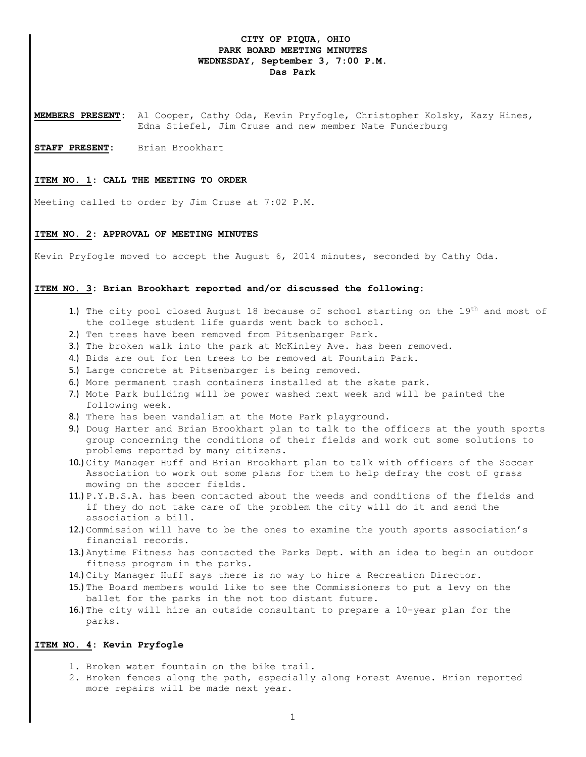# **CITY OF PIQUA, OHIO PARK BOARD MEETING MINUTES WEDNESDAY, September 3, 7:00 P.M. Das Park**

**MEMBERS PRESENT:** Al Cooper, Cathy Oda, Kevin Pryfogle, Christopher Kolsky, Kazy Hines, Edna Stiefel, Jim Cruse and new member Nate Funderburg

**STAFF PRESENT:** Brian Brookhart

#### **ITEM NO. 1: CALL THE MEETING TO ORDER**

Meeting called to order by Jim Cruse at 7:02 P.M.

#### **ITEM NO. 2: APPROVAL OF MEETING MINUTES**

Kevin Pryfogle moved to accept the August 6, 2014 minutes, seconded by Cathy Oda.

# **ITEM NO. 3: Brian Brookhart reported and/or discussed the following:**

- 1.) The city pool closed August 18 because of school starting on the  $19<sup>th</sup>$  and most of the college student life guards went back to school.
- 2.) Ten trees have been removed from Pitsenbarger Park.
- 3.) The broken walk into the park at McKinley Ave. has been removed.
- 4.) Bids are out for ten trees to be removed at Fountain Park.
- 5.) Large concrete at Pitsenbarger is being removed.
- 6.) More permanent trash containers installed at the skate park.
- 7.) Mote Park building will be power washed next week and will be painted the following week.
- 8.) There has been vandalism at the Mote Park playground.
- 9.) Doug Harter and Brian Brookhart plan to talk to the officers at the youth sports group concerning the conditions of their fields and work out some solutions to problems reported by many citizens.
- 10.) City Manager Huff and Brian Brookhart plan to talk with officers of the Soccer Association to work out some plans for them to help defray the cost of grass mowing on the soccer fields.
- 11.) P.Y.B.S.A. has been contacted about the weeds and conditions of the fields and if they do not take care of the problem the city will do it and send the association a bill.
- 12.) Commission will have to be the ones to examine the youth sports association's financial records.
- 13.) Anytime Fitness has contacted the Parks Dept. with an idea to begin an outdoor fitness program in the parks.
- 14.) City Manager Huff says there is no way to hire a Recreation Director.
- 15.) The Board members would like to see the Commissioners to put a levy on the ballet for the parks in the not too distant future.
- 16.) The city will hire an outside consultant to prepare a 10-year plan for the parks.

# **ITEM NO. 4: Kevin Pryfogle**

- 1. Broken water fountain on the bike trail.
- 2. Broken fences along the path, especially along Forest Avenue. Brian reported more repairs will be made next year.